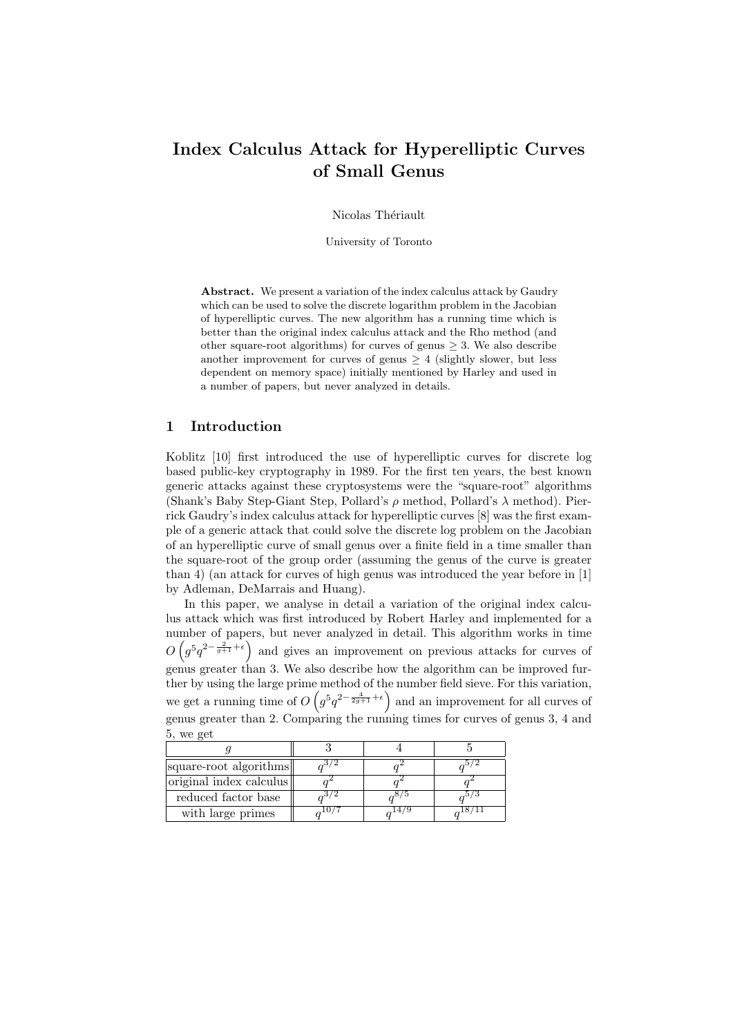# Index Calculus Attack for Hyperelliptic Curves of Small Genus

Nicolas Thériault

University of Toronto

Abstract. We present a variation of the index calculus attack by Gaudry which can be used to solve the discrete logarithm problem in the Jacobian of hyperelliptic curves. The new algorithm has a running time which is better than the original index calculus attack and the Rho method (and other square-root algorithms) for curves of genus  $\geq$  3. We also describe another improvement for curves of genus  $\geq 4$  (slightly slower, but less dependent on memory space) initially mentioned by Harley and used in a number of papers, but never analyzed in details.

# 1 Introduction

Koblitz [10] first introduced the use of hyperelliptic curves for discrete log based public-key cryptography in 1989. For the first ten years, the best known generic attacks against these cryptosystems were the "square-root" algorithms (Shank's Baby Step-Giant Step, Pollard's  $\rho$  method, Pollard's  $\lambda$  method). Pierrick Gaudry's index calculus attack for hyperelliptic curves [8] was the first example of a generic attack that could solve the discrete log problem on the Jacobian of an hyperelliptic curve of small genus over a finite field in a time smaller than the square-root of the group order (assuming the genus of the curve is greater than 4) (an attack for curves of high genus was introduced the year before in [1] by Adleman, DeMarrais and Huang).

In this paper, we analyse in detail a variation of the original index calculus attack which was first introduced by Robert Harley and implemented for a number of papers, but never analyzed in detail. This algorithm works in time  $O(g^5q^{2-\frac{2}{g+1}+\epsilon})$  and gives an improvement on previous attacks for curves of genus greater than 3. We also describe how the algorithm can be improved further by using the large prime method of the number field sieve. For this variation, we get a running time of  $O(g^5q^{2-\frac{4}{2g+1}+\epsilon})$  and an improvement for all curves of genus greater than 2. Comparing the running times for curves of genus 3, 4 and 5, we get

| square-root algorithms  |  |  |  |
|-------------------------|--|--|--|
| original index calculus |  |  |  |
| reduced factor base     |  |  |  |
| with large primes       |  |  |  |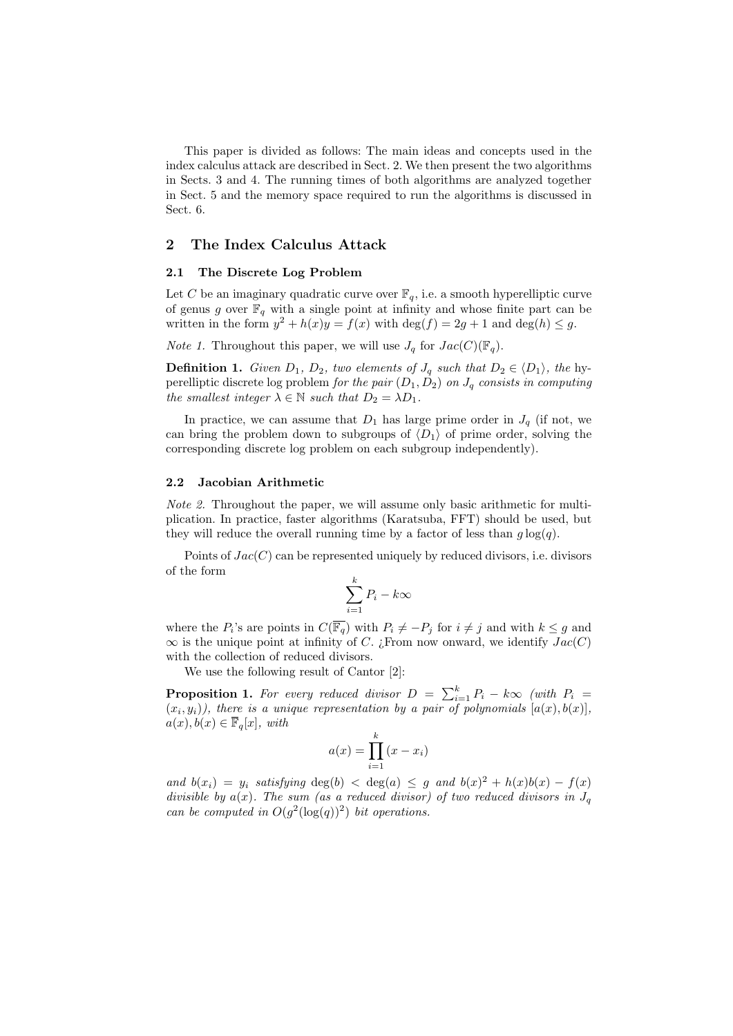This paper is divided as follows: The main ideas and concepts used in the index calculus attack are described in Sect. 2. We then present the two algorithms in Sects. 3 and 4. The running times of both algorithms are analyzed together in Sect. 5 and the memory space required to run the algorithms is discussed in Sect. 6.

## 2 The Index Calculus Attack

#### 2.1 The Discrete Log Problem

Let C be an imaginary quadratic curve over  $\mathbb{F}_q$ , i.e. a smooth hyperelliptic curve of genus g over  $\mathbb{F}_q$  with a single point at infinity and whose finite part can be written in the form  $y^2 + h(x)y = f(x)$  with  $\deg(f) = 2g + 1$  and  $\deg(h) \leq g$ .

*Note 1.* Throughout this paper, we will use  $J_q$  for  $Jac(C)(\mathbb{F}_q)$ .

**Definition 1.** Given  $D_1$ ,  $D_2$ , two elements of  $J_q$  such that  $D_2 \in \langle D_1 \rangle$ , the hyperelliptic discrete log problem for the pair  $(D_1, D_2)$  on  $J_q$  consists in computing the smallest integer  $\lambda \in \mathbb{N}$  such that  $D_2 = \lambda D_1$ .

In practice, we can assume that  $D_1$  has large prime order in  $J_q$  (if not, we can bring the problem down to subgroups of  $\langle D_1 \rangle$  of prime order, solving the corresponding discrete log problem on each subgroup independently).

#### 2.2 Jacobian Arithmetic

Note 2. Throughout the paper, we will assume only basic arithmetic for multiplication. In practice, faster algorithms (Karatsuba, FFT) should be used, but they will reduce the overall running time by a factor of less than  $q \log(q)$ .

Points of  $Jac(C)$  can be represented uniquely by reduced divisors, i.e. divisors of the form

$$
\sum_{i=1}^{k} P_i - k\infty
$$

where the  $P_i$ 's are points in  $C(\overline{\mathbb{F}_q})$  with  $P_i \neq -P_j$  for  $i \neq j$  and with  $k \leq g$  and  $\infty$  is the unique point at infinity of C. ¿From now onward, we identify  $Jac(C)$ with the collection of reduced divisors.

We use the following result of Cantor [2]:

**Proposition 1.** For every reduced divisor  $D = \sum_{i=1}^{k} P_i - k \infty$  (with  $P_i =$  $(x_i, y_i)$ , there is a unique representation by a pair of polynomials  $[a(x), b(x)]$ ,  $a(x), b(x) \in \overline{\mathbb{F}}_q[x]$ , with

$$
a(x) = \prod_{i=1}^{k} (x - x_i)
$$

and  $b(x_i) = y_i$  satisfying  $\deg(b) < \deg(a) \leq g$  and  $b(x)^2 + h(x)b(x) - f(x)$ divisible by  $a(x)$ . The sum (as a reduced divisor) of two reduced divisors in  $J_q$ can be computed in  $O(g^2(\log(q))^2)$  bit operations.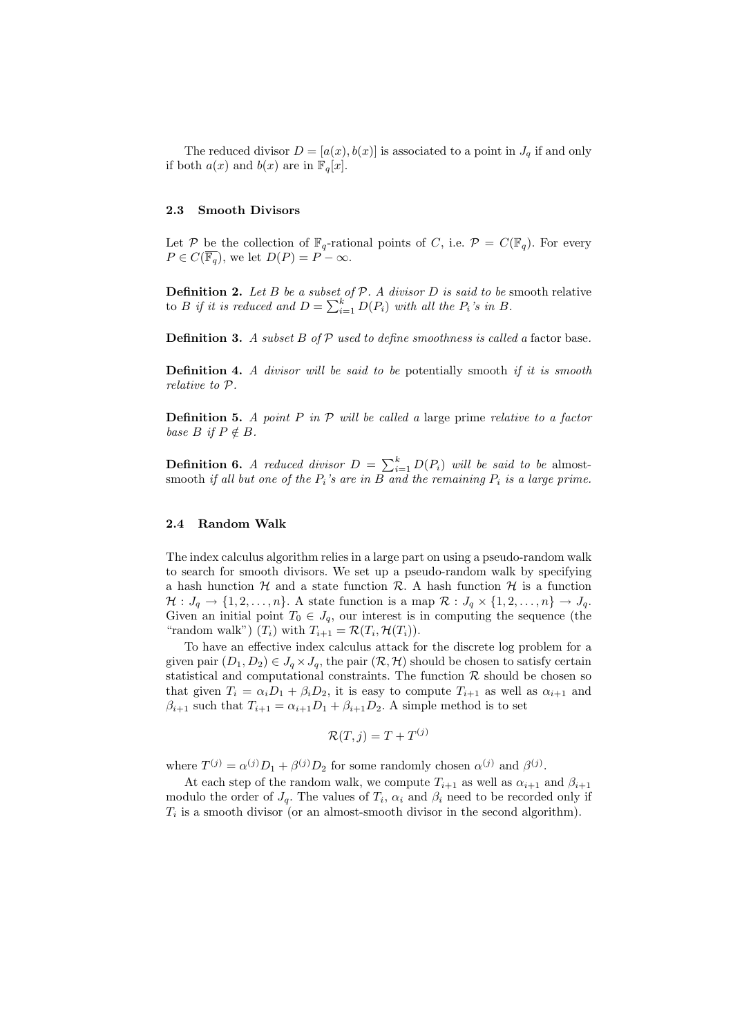The reduced divisor  $D = [a(x), b(x)]$  is associated to a point in  $J_q$  if and only if both  $a(x)$  and  $b(x)$  are in  $\mathbb{F}_q[x]$ .

## 2.3 Smooth Divisors

Let P be the collection of  $\mathbb{F}_q$ -rational points of C, i.e.  $\mathcal{P} = C(\mathbb{F}_q)$ . For every  $P \in C(\overline{\mathbb{F}_q})$ , we let  $D(P) = P - \infty$ .

**Definition 2.** Let B be a subset of  $P$ . A divisor D is said to be smooth relative **Definition 2.** Let B be a subset of P. A arrisor D is said to be s<br>to B if it is reduced and  $D = \sum_{i=1}^{k} D(P_i)$  with all the  $P_i$ 's in B.

**Definition 3.** A subset B of  $\mathcal{P}$  used to define smoothness is called a factor base.

**Definition 4.** A divisor will be said to be potentially smooth if it is smooth relative to P.

**Definition 5.** A point P in  $\mathcal P$  will be called a large prime relative to a factor base  $B$  if  $P \notin B$ .

**Definition 6.** A reduced divisor  $D = \sum_{i=1}^{k} D(P_i)$  will be said to be almostsmooth if all but one of the  $P_i$ 's are in B and the remaining  $P_i$  is a large prime.

#### 2.4 Random Walk

The index calculus algorithm relies in a large part on using a pseudo-random walk to search for smooth divisors. We set up a pseudo-random walk by specifying a hash hunction  $H$  and a state function  $R$ . A hash function  $H$  is a function  $\mathcal{H}: J_q \to \{1, 2, \ldots, n\}.$  A state function is a map  $\mathcal{R}: J_q \times \{1, 2, \ldots, n\} \to J_q.$ Given an initial point  $T_0 \in J_q$ , our interest is in computing the sequence (the "random walk")  $(T_i)$  with  $T_{i+1} = \mathcal{R}(T_i, \mathcal{H}(T_i)).$ 

To have an effective index calculus attack for the discrete log problem for a given pair  $(D_1, D_2) \in J_q \times J_q$ , the pair  $(\mathcal{R}, \mathcal{H})$  should be chosen to satisfy certain statistical and computational constraints. The function  $R$  should be chosen so that given  $T_i = \alpha_i D_1 + \beta_i D_2$ , it is easy to compute  $T_{i+1}$  as well as  $\alpha_{i+1}$  and  $\beta_{i+1}$  such that  $T_{i+1} = \alpha_{i+1}D_1 + \beta_{i+1}D_2$ . A simple method is to set

$$
\mathcal{R}(T,j) = T + T^{(j)}
$$

where  $T^{(j)} = \alpha^{(j)} D_1 + \beta^{(j)} D_2$  for some randomly chosen  $\alpha^{(j)}$  and  $\beta^{(j)}$ .

At each step of the random walk, we compute  $T_{i+1}$  as well as  $\alpha_{i+1}$  and  $\beta_{i+1}$ modulo the order of  $J_q$ . The values of  $T_i$ ,  $\alpha_i$  and  $\beta_i$  need to be recorded only if  $T_i$  is a smooth divisor (or an almost-smooth divisor in the second algorithm).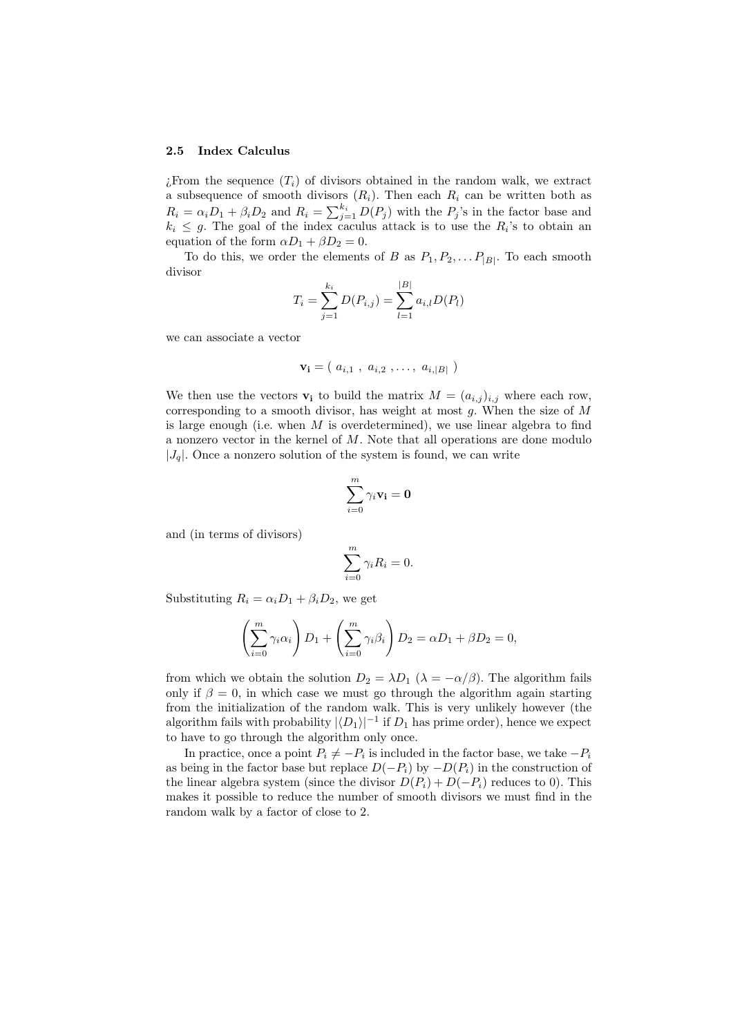#### 2.5 Index Calculus

 $i$ . From the sequence  $(T_i)$  of divisors obtained in the random walk, we extract a subsequence of smooth divisors  $(R_i)$ . Then each  $R_i$  can be written both as  $R_i = \alpha_i D_1 + \beta_i D_2$  and  $R_i = \sum_{j=1}^{k_i} D(P_j)$  with the  $P_j$ 's in the factor base and  $k_i \leq g$ . The goal of the index caculus attack is to use the  $R_i$ 's to obtain an equation of the form  $\alpha D_1 + \beta D_2 = 0$ .

To do this, we order the elements of B as  $P_1, P_2, \ldots, P_{|B|}$ . To each smooth divisor

$$
T_i = \sum_{j=1}^{k_i} D(P_{i,j}) = \sum_{l=1}^{|B|} a_{i,l} D(P_l)
$$

we can associate a vector

$$
\mathbf{v_i} = (a_{i,1}, a_{i,2}, \ldots, a_{i,|B|})
$$

We then use the vectors  $\mathbf{v}_i$  to build the matrix  $M = (a_{i,j})_{i,j}$  where each row, corresponding to a smooth divisor, has weight at most  $q$ . When the size of  $M$ is large enough (i.e. when  $M$  is overdetermined), we use linear algebra to find a nonzero vector in the kernel of M. Note that all operations are done modulo  $|J_q|$ . Once a nonzero solution of the system is found, we can write

$$
\sum_{i=0}^m \gamma_i \mathbf{v_i} = \mathbf{0}
$$

and (in terms of divisors)

$$
\sum_{i=0}^{m} \gamma_i R_i = 0.
$$

Substituting  $R_i = \alpha_i D_1 + \beta_i D_2$ , we get

$$
\left(\sum_{i=0}^{m} \gamma_i \alpha_i\right) D_1 + \left(\sum_{i=0}^{m} \gamma_i \beta_i\right) D_2 = \alpha D_1 + \beta D_2 = 0,
$$

from which we obtain the solution  $D_2 = \lambda D_1$  ( $\lambda = -\alpha/\beta$ ). The algorithm fails only if  $\beta = 0$ , in which case we must go through the algorithm again starting from the initialization of the random walk. This is very unlikely however (the algorithm fails with probability  $|\langle D_1 \rangle|^{-1}$  if  $D_1$  has prime order), hence we expect to have to go through the algorithm only once.

In practice, once a point  $P_i \neq -P_i$  is included in the factor base, we take  $-P_i$ as being in the factor base but replace  $D(-P_i)$  by  $-D(P_i)$  in the construction of the linear algebra system (since the divisor  $D(P_i) + D(-P_i)$  reduces to 0). This makes it possible to reduce the number of smooth divisors we must find in the random walk by a factor of close to 2.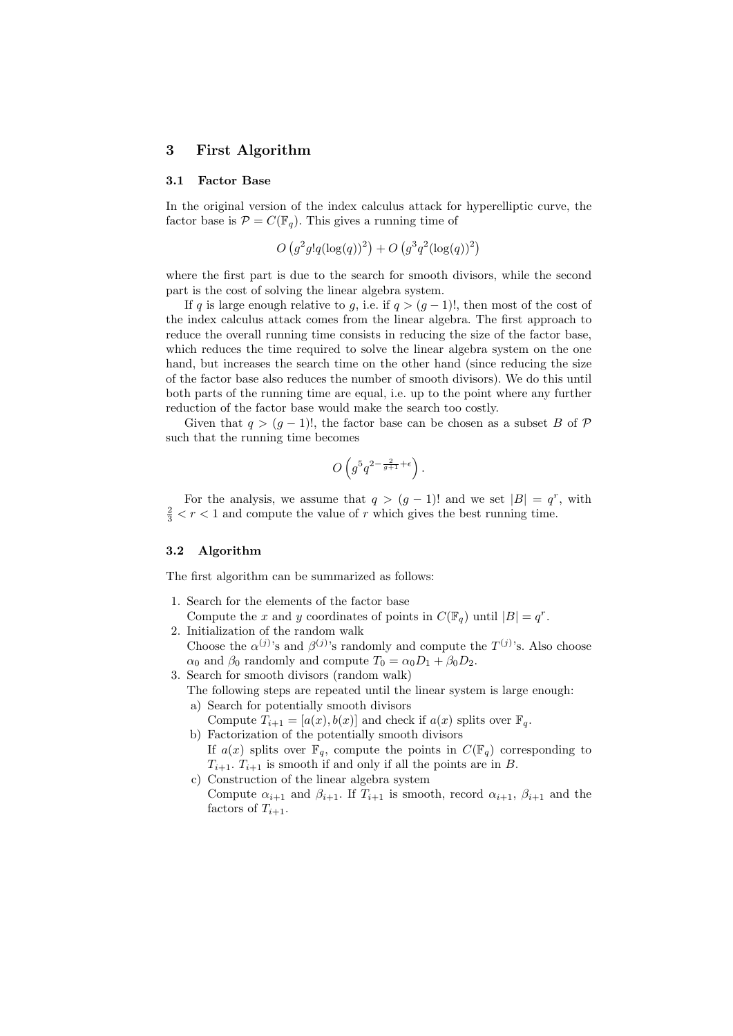## 3 First Algorithm

#### 3.1 Factor Base

In the original version of the index calculus attack for hyperelliptic curve, the factor base is  $\mathcal{P} = C(\mathbb{F}_q)$ . This gives a running time of

$$
O(g^{2}g!q(\log(q))^{2}) + O(g^{3}q^{2}(\log(q))^{2})
$$

where the first part is due to the search for smooth divisors, while the second part is the cost of solving the linear algebra system.

If q is large enough relative to g, i.e. if  $q > (q-1)!$ , then most of the cost of the index calculus attack comes from the linear algebra. The first approach to reduce the overall running time consists in reducing the size of the factor base, which reduces the time required to solve the linear algebra system on the one hand, but increases the search time on the other hand (since reducing the size of the factor base also reduces the number of smooth divisors). We do this until both parts of the running time are equal, i.e. up to the point where any further reduction of the factor base would make the search too costly.

Given that  $q > (g - 1)!$ , the factor base can be chosen as a subset B of P such that the running time becomes

$$
O\left(g^5q^{2-\frac{2}{g+1}+\epsilon}\right).
$$

For the analysis, we assume that  $q > (g - 1)!$  and we set  $|B| = q^r$ , with  $\frac{2}{3}$  < r < 1 and compute the value of r which gives the best running time.

#### 3.2 Algorithm

The first algorithm can be summarized as follows:

- 1. Search for the elements of the factor base Compute the x and y coordinates of points in  $C(\mathbb{F}_q)$  until  $|B| = q^r$ .
- 2. Initialization of the random walk Choose the  $\alpha^{(j)}$ 's and  $\beta^{(j)}$ 's randomly and compute the  $T^{(j)}$ 's. Also choose  $\alpha_0$  and  $\beta_0$  randomly and compute  $T_0 = \alpha_0 D_1 + \beta_0 D_2$ .
- 3. Search for smooth divisors (random walk)
	- The following steps are repeated until the linear system is large enough: a) Search for potentially smooth divisors
		- Compute  $T_{i+1} = [a(x), b(x)]$  and check if  $a(x)$  splits over  $\mathbb{F}_q$ .
	- b) Factorization of the potentially smooth divisors If  $a(x)$  splits over  $\mathbb{F}_q$ , compute the points in  $C(\mathbb{F}_q)$  corresponding to  $T_{i+1}$ .  $T_{i+1}$  is smooth if and only if all the points are in B.
	- c) Construction of the linear algebra system Compute  $\alpha_{i+1}$  and  $\beta_{i+1}$ . If  $T_{i+1}$  is smooth, record  $\alpha_{i+1}$ ,  $\beta_{i+1}$  and the factors of  $T_{i+1}$ .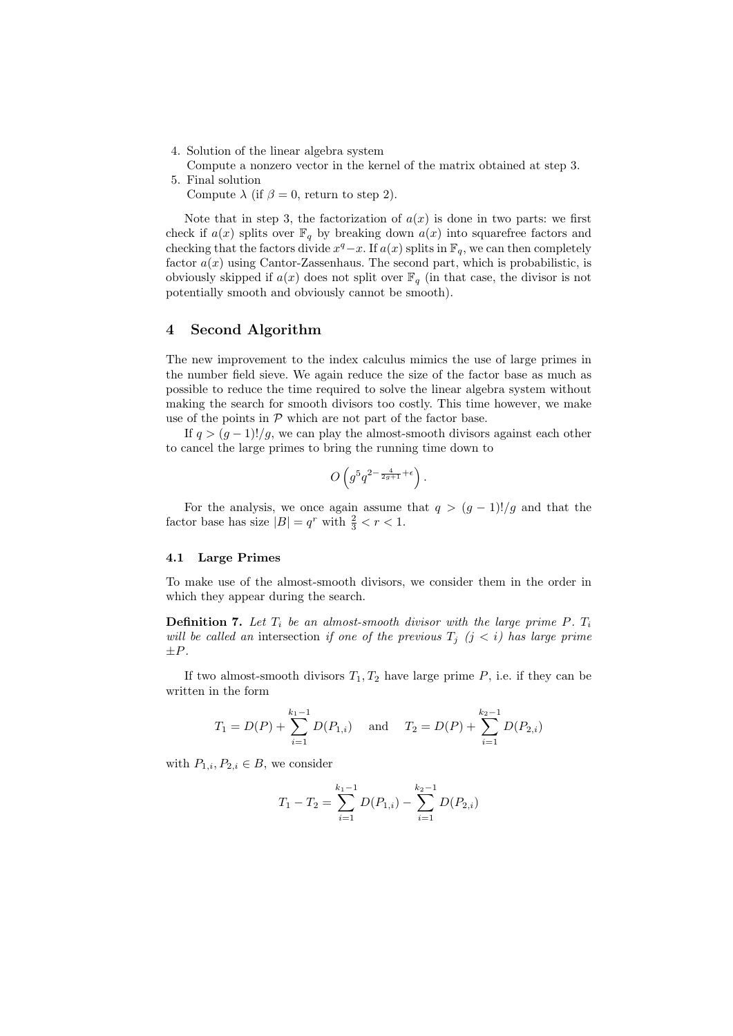- 4. Solution of the linear algebra system
- Compute a nonzero vector in the kernel of the matrix obtained at step 3. 5. Final solution
	- Compute  $\lambda$  (if  $\beta = 0$ , return to step 2).

Note that in step 3, the factorization of  $a(x)$  is done in two parts: we first check if  $a(x)$  splits over  $\mathbb{F}_q$  by breaking down  $a(x)$  into squarefree factors and checking that the factors divide  $x^q - x$ . If  $a(x)$  splits in  $\mathbb{F}_q$ , we can then completely factor  $a(x)$  using Cantor-Zassenhaus. The second part, which is probabilistic, is obviously skipped if  $a(x)$  does not split over  $\mathbb{F}_q$  (in that case, the divisor is not potentially smooth and obviously cannot be smooth).

## 4 Second Algorithm

The new improvement to the index calculus mimics the use of large primes in the number field sieve. We again reduce the size of the factor base as much as possible to reduce the time required to solve the linear algebra system without making the search for smooth divisors too costly. This time however, we make use of the points in  $P$  which are not part of the factor base.

If  $q > (g-1)!/g$ , we can play the almost-smooth divisors against each other to cancel the large primes to bring the running time down to

$$
O\left(g^5q^{2-\frac{4}{2g+1}+\epsilon}\right).
$$

For the analysis, we once again assume that  $q > (g - 1)!/g$  and that the factor base has size  $|B| = q^r$  with  $\frac{2}{3} < r < 1$ .

## 4.1 Large Primes

To make use of the almost-smooth divisors, we consider them in the order in which they appear during the search.

**Definition 7.** Let  $T_i$  be an almost-smooth divisor with the large prime P.  $T_i$ will be called an intersection if one of the previous  $T_j$  (j < i) has large prime  $\pm P$ .

If two almost-smooth divisors  $T_1, T_2$  have large prime P, i.e. if they can be written in the form

$$
T_1 = D(P) + \sum_{i=1}^{k_1-1} D(P_{1,i})
$$
 and  $T_2 = D(P) + \sum_{i=1}^{k_2-1} D(P_{2,i})$ 

with  $P_{1,i}, P_{2,i} \in B$ , we consider

$$
T_1 - T_2 = \sum_{i=1}^{k_1 - 1} D(P_{1,i}) - \sum_{i=1}^{k_2 - 1} D(P_{2,i})
$$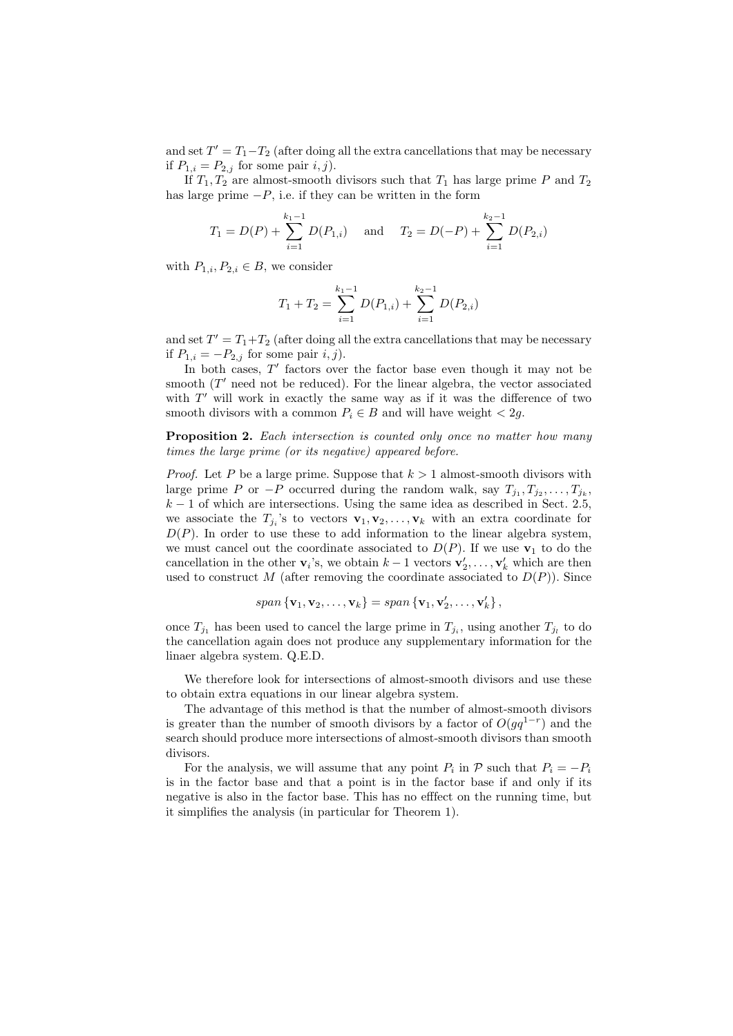and set  $T' = T_1 - T_2$  (after doing all the extra cancellations that may be necessary if  $P_{1,i} = P_{2,j}$  for some pair  $i, j$ .

If  $T_1, T_2$  are almost-smooth divisors such that  $T_1$  has large prime P and  $T_2$ has large prime  $-P$ , i.e. if they can be written in the form

$$
T_1 = D(P) + \sum_{i=1}^{k_1-1} D(P_{1,i})
$$
 and  $T_2 = D(-P) + \sum_{i=1}^{k_2-1} D(P_{2,i})$ 

with  $P_{1,i}, P_{2,i} \in B$ , we consider

$$
T_1 + T_2 = \sum_{i=1}^{k_1 - 1} D(P_{1,i}) + \sum_{i=1}^{k_2 - 1} D(P_{2,i})
$$

and set  $T' = T_1 + T_2$  (after doing all the extra cancellations that may be necessary if  $P_{1,i} = -P_{2,j}$  for some pair  $i, j$ .

In both cases,  $T'$  factors over the factor base even though it may not be smooth  $(T'$  need not be reduced). For the linear algebra, the vector associated with  $T'$  will work in exactly the same way as if it was the difference of two smooth divisors with a common  $P_i \in B$  and will have weight  $\langle 2q \rangle$ .

Proposition 2. Each intersection is counted only once no matter how many times the large prime (or its negative) appeared before.

*Proof.* Let P be a large prime. Suppose that  $k > 1$  almost-smooth divisors with large prime P or  $-P$  occurred during the random walk, say  $T_{j_1}, T_{j_2}, \ldots, T_{j_k}$ ,  $k-1$  of which are intersections. Using the same idea as described in Sect. 2.5, we associate the  $T_{j_i}$ 's to vectors  $\mathbf{v}_1, \mathbf{v}_2, \ldots, \mathbf{v}_k$  with an extra coordinate for  $D(P)$ . In order to use these to add information to the linear algebra system, we must cancel out the coordinate associated to  $D(P)$ . If we use  $\mathbf{v}_1$  to do the cancellation in the other  $\mathbf{v}_i$ 's, we obtain  $k-1$  vectors  $\mathbf{v}'_2, \ldots, \mathbf{v}'_k$  which are then used to construct M (after removing the coordinate associated to  $D(P)$ ). Since

$$
span \{ \mathbf{v}_1, \mathbf{v}_2, \ldots, \mathbf{v}_k \} = span \{ \mathbf{v}_1, \mathbf{v}_2', \ldots, \mathbf{v}_k' \},
$$

once  $T_{j_1}$  has been used to cancel the large prime in  $T_{j_i}$ , using another  $T_{j_i}$  to do the cancellation again does not produce any supplementary information for the linaer algebra system. Q.E.D.

We therefore look for intersections of almost-smooth divisors and use these to obtain extra equations in our linear algebra system.

The advantage of this method is that the number of almost-smooth divisors is greater than the number of smooth divisors by a factor of  $O(gq^{1-r})$  and the search should produce more intersections of almost-smooth divisors than smooth divisors.

For the analysis, we will assume that any point  $P_i$  in  $P$  such that  $P_i = -P_i$ is in the factor base and that a point is in the factor base if and only if its negative is also in the factor base. This has no efffect on the running time, but it simplifies the analysis (in particular for Theorem 1).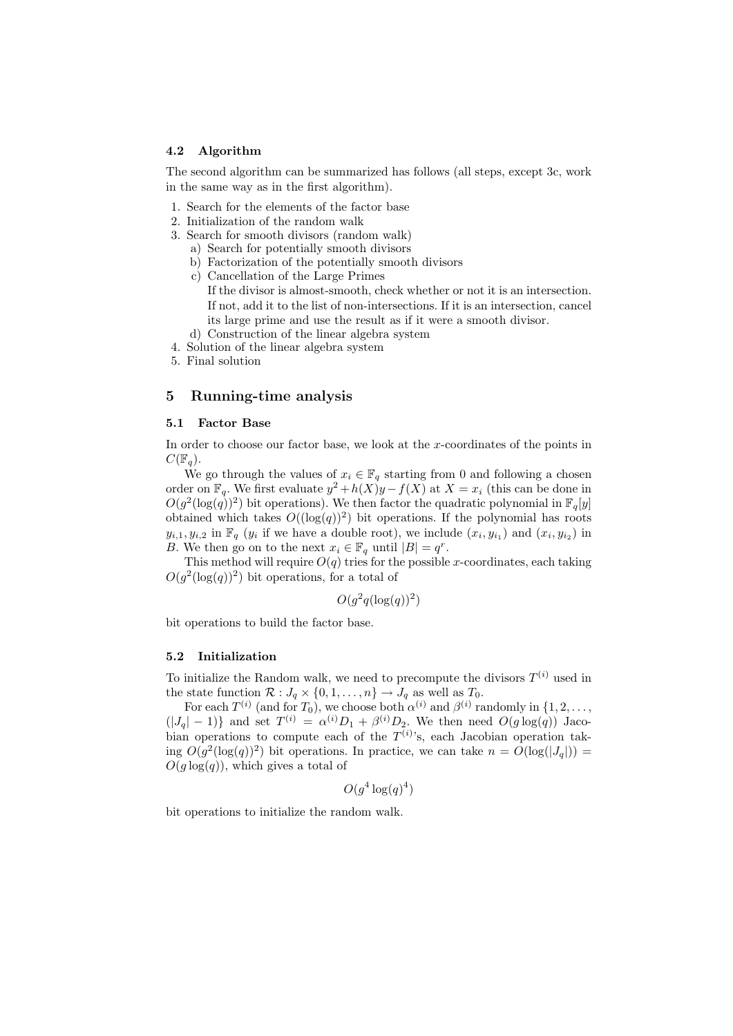#### 4.2 Algorithm

The second algorithm can be summarized has follows (all steps, except 3c, work in the same way as in the first algorithm).

- 1. Search for the elements of the factor base
- 2. Initialization of the random walk
- 3. Search for smooth divisors (random walk) a) Search for potentially smooth divisors
	- b) Factorization of the potentially smooth divisors
	- c) Cancellation of the Large Primes If the divisor is almost-smooth, check whether or not it is an intersection. If not, add it to the list of non-intersections. If it is an intersection, cancel its large prime and use the result as if it were a smooth divisor.
	- d) Construction of the linear algebra system
- 4. Solution of the linear algebra system
- 5. Final solution

## 5 Running-time analysis

#### 5.1 Factor Base

In order to choose our factor base, we look at the x-coordinates of the points in  $C(\mathbb{F}_q)$ .

We go through the values of  $x_i \in \mathbb{F}_q$  starting from 0 and following a chosen order on  $\mathbb{F}_q$ . We first evaluate  $y^2 + h(X)y - f(X)$  at  $X = x_i$  (this can be done in  $O(g^2(\log(q))^2)$  bit operations). We then factor the quadratic polynomial in  $\mathbb{F}_q[y]$ obtained which takes  $O((\log(q))^2)$  bit operations. If the polynomial has roots  $y_{i,1}, y_{i,2}$  in  $\mathbb{F}_q$  ( $y_i$  if we have a double root), we include  $(x_i, y_{i_1})$  and  $(x_i, y_{i_2})$  in B. We then go on to the next  $x_i \in \mathbb{F}_q$  until  $|B| = q^r$ .

This method will require  $O(q)$  tries for the possible x-coordinates, each taking  $O(g^2(\log(q))^2)$  bit operations, for a total of

$$
O(g^2q(\log(q))^2)
$$

bit operations to build the factor base.

## 5.2 Initialization

To initialize the Random walk, we need to precompute the divisors  $T^{(i)}$  used in the state function  $\mathcal{R}: J_q \times \{0, 1, \ldots, n\} \to J_q$  as well as  $T_0$ .

For each  $T^{(i)}$  (and for  $T_0$ ), we choose both  $\alpha^{(i)}$  and  $\beta^{(i)}$  randomly in  $\{1, 2, \ldots,$  $(|J_q| - 1)$ } and set  $T^{(i)} = \alpha^{(i)}D_1 + \beta^{(i)}D_2$ . We then need  $O(g \log(q))$  Jacobian operations to compute each of the  $T^{(i)}$ 's, each Jacobian operation taking  $O(g^2(\log(q))^2)$  bit operations. In practice, we can take  $n = O(\log(|J_q|))$  =  $O(g \log(q))$ , which gives a total of

$$
O(g^4 \log(q)^4)
$$

bit operations to initialize the random walk.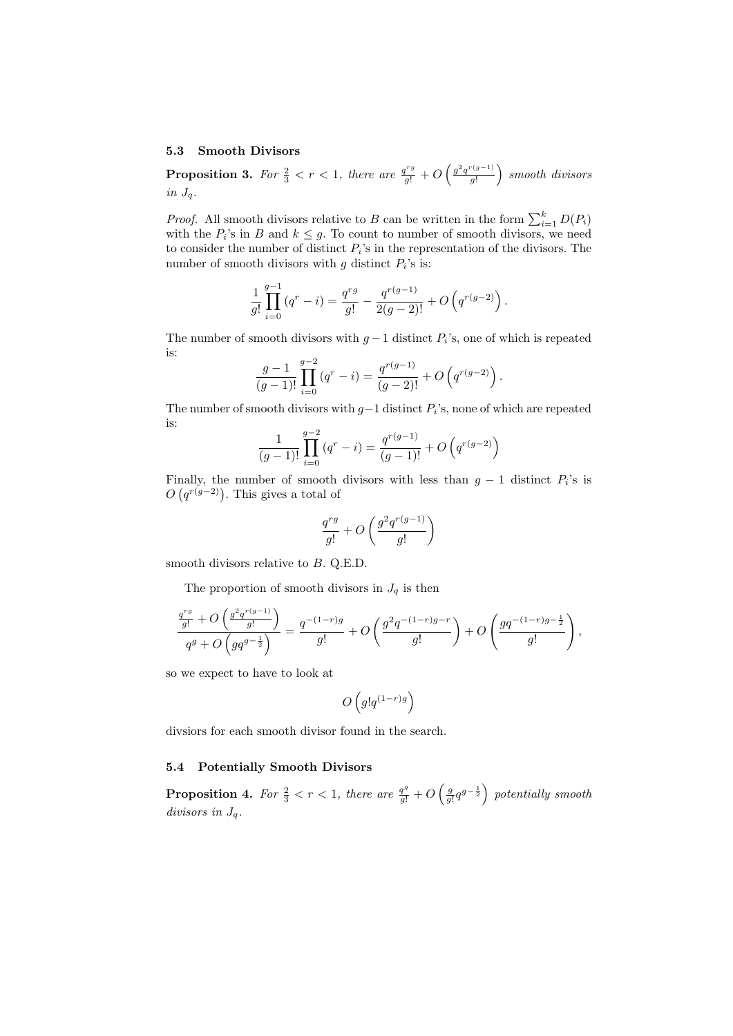#### 5.3 Smooth Divisors

**Proposition 3.** For  $\frac{2}{3} < r < 1$ , there are  $\frac{q^{rg}}{g!} + O$  $\int g^2 q^{r(g-1)}$ g! ´ smooth divisors in  $J_q$ .

*Proof.* All smooth divisors relative to B can be written in the form  $\sum_{i=1}^{k} D(P_i)$ with the  $P_i$ 's in B and  $k \leq g$ . To count to number of smooth divisors, we need to consider the number of distinct  $P_i$ 's in the representation of the divisors. The number of smooth divisors with  $g$  distinct  $P_i$ 's is:

$$
\frac{1}{g!} \prod_{i=0}^{g-1} (q^r - i) = \frac{q^{rg}}{g!} - \frac{q^{r(g-1)}}{2(g-2)!} + O(q^{r(g-2)})
$$

The number of smooth divisors with  $g-1$  distinct  $P_i$ 's, one of which is repeated is:

$$
\frac{g-1}{(g-1)!} \prod_{i=0}^{g-2} (q^r - i) = \frac{q^{r(g-1)}}{(g-2)!} + O(q^{r(g-2)})
$$

The number of smooth divisors with  $g-1$  distinct  $P_i$ 's, none of which are repeated is:

$$
\frac{1}{(g-1)!} \prod_{i=0}^{g-2} (q^r - i) = \frac{q^{r(g-1)}}{(g-1)!} + O\left(q^{r(g-2)}\right)
$$

Finally, the number of smooth divisors with less than  $g - 1$  distinct  $P_i$ 's is r many, the number of smooth<br> $O(q^{r(g-2)})$ . This gives a total of

$$
\frac{q^{rg}}{g!}+O\left(\frac{g^2q^{r(g-1)}}{g!}\right)
$$

smooth divisors relative to  $B$ . Q.E.D.

The proportion of smooth divisors in  $J_q$  is then

$$
\frac{\frac{q^{rg}}{g!}+O\left(\frac{g^2q^{r(g-1)}}{g!}\right)}{q^g+O\left(gq^{g-\frac{1}{2}}\right)}=\frac{q^{-(1-r)g}}{g!}+O\left(\frac{g^2q^{-(1-r)g-r}}{g!}\right)+O\left(\frac{gq^{-(1-r)g-\frac{1}{2}}}{g!}\right),
$$

so we expect to have to look at

$$
O\left(g!q^{(1-r)g}\right)
$$

divsiors for each smooth divisor found in the search.

# 5.4 Potentially Smooth Divisors

**Proposition 4.** For  $\frac{2}{3} < r < 1$ , there are  $\frac{q^g}{g!} + O$  $\left(\frac{g}{g!}q^{g-\frac{1}{2}}\right)$ ´ potentially smooth divisors in  $J_q$ .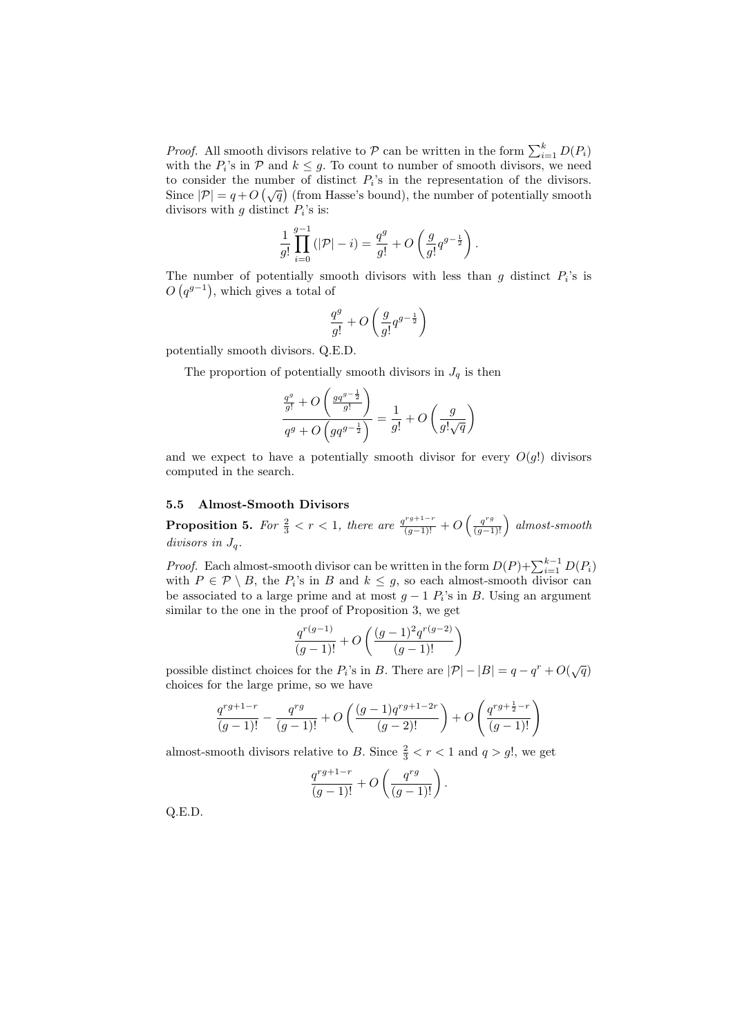*Proof.* All smooth divisors relative to  $P$  can be written in the form  $\sum_{i=1}^{k} D(P_i)$ with the  $P_i$ 's in  $P$  and  $k \leq g$ . To count to number of smooth divisors, we need to consider the number of distinct  $P_i$ 's in the representation of the divisors. to consider the number of distinct  $P_i$  is in the representation of the divisors.<br>Since  $|\mathcal{P}| = q + O\left(\sqrt{q}\right)$  (from Hasse's bound), the number of potentially smooth divisors with  $g$  distinct  $P_i$ 's is:

$$
\frac{1}{g!} \prod_{i=0}^{g-1} (|\mathcal{P}| - i) = \frac{q^g}{g!} + O\left(\frac{g}{g!} q^{g-\frac{1}{2}}\right).
$$

The number of potentially smooth divisors with less than g distinct  $P_i$ 's is  $O(q^{g-1})$ , which gives a total of

$$
\frac{q^g}{g!} + O\left(\frac{g}{g!}q^{g-\frac{1}{2}}\right)
$$

potentially smooth divisors. Q.E.D.

The proportion of potentially smooth divisors in  $J_q$  is then

$$
\frac{\frac{q^g}{g!} + O\left(\frac{g q^{g-\frac{1}{2}}}{g!}\right)}{q^g + O\left(g q^{g-\frac{1}{2}}\right)} = \frac{1}{g!} + O\left(\frac{g}{g! \sqrt{q}}\right)
$$

and we expect to have a potentially smooth divisor for every  $O(g!)$  divisors computed in the search.

## 5.5 Almost-Smooth Divisors

**Proposition 5.** For  $\frac{2}{3} < r < 1$ , there are  $\frac{q^{rg+1-r}}{(g-1)!} + O$  $\left(\frac{q^{rg}}{(g-1)!}\right)$  almost-smooth divisors in Jq.

*Proof.* Each almost-smooth divisor can be written in the form  $D(P) + \sum_{i=1}^{k-1} D(P_i)$ with  $P \in \mathcal{P} \setminus B$ , the  $P_i$ 's in B and  $k \leq g$ , so each almost-smooth divisor can be associated to a large prime and at most  $g - 1$   $P_i$ 's in B. Using an argument similar to the one in the proof of Proposition 3, we get

$$
\frac{q^{r(g-1)}}{(g-1)!}+O\left(\frac{(g-1)^2q^{r(g-2)}}{(g-1)!}\right)
$$

possible distinct choices for the  $P_i$ 's in B. There are  $|\mathcal{P}|-|B|=q-q^r+O(\sqrt{q})$ choices for the large prime, so we have

$$
\frac{q^{rg+1-r}}{(g-1)!} - \frac{q^{rg}}{(g-1)!} + O\left(\frac{(g-1)q^{rg+1-2r}}{(g-2)!}\right) + O\left(\frac{q^{rg+\frac{1}{2}-r}}{(g-1)!}\right)
$$

almost-smooth divisors relative to B. Since  $\frac{2}{3} < r < 1$  and  $q > g!$ , we get

$$
\frac{q^{rg+1-r}}{(g-1)!} + O\left(\frac{q^{rg}}{(g-1)!}\right).
$$

Q.E.D.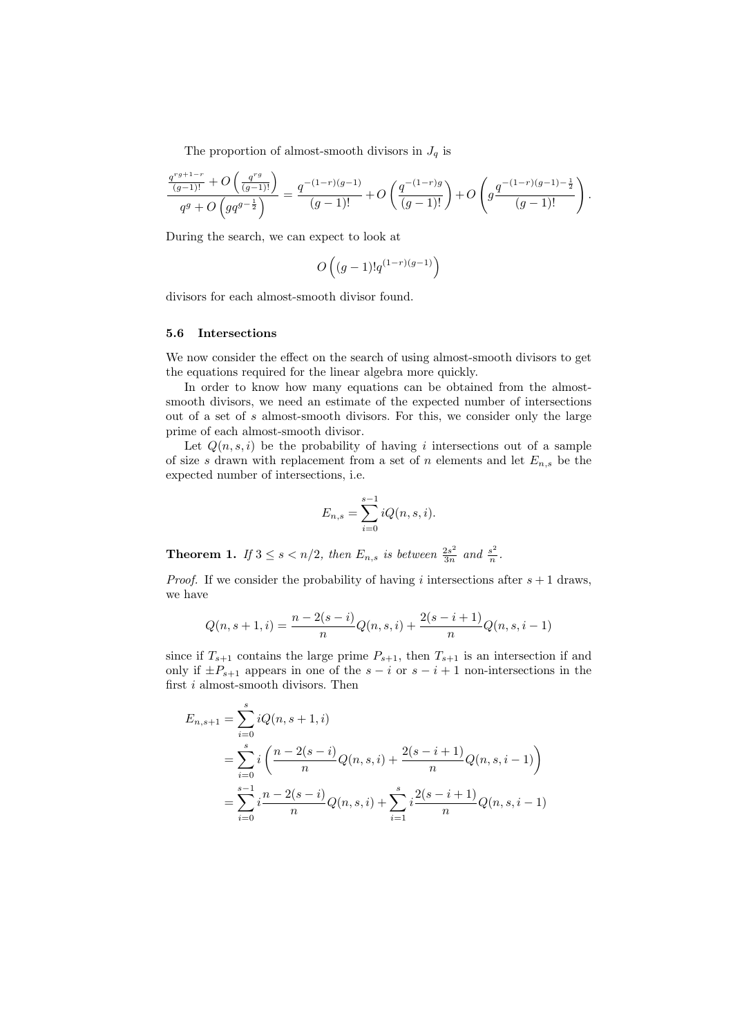The proportion of almost-smooth divisors in  $J_q$  is

$$
\frac{q^{rg+1-r}}{(g-1)!} + O\left(\frac{q^{rg}}{(g-1)!}\right) = \frac{q^{-(1-r)(g-1)}}{(g-1)!} + O\left(\frac{q^{-(1-r)g}}{(g-1)!}\right) + O\left(g\frac{q^{-(1-r)(g-1)-\frac{1}{2}}}{(g-1)!}\right).
$$

During the search, we can expect to look at

$$
O\left((g-1)!q^{(1-r)(g-1)}\right)
$$

divisors for each almost-smooth divisor found.

#### 5.6 Intersections

We now consider the effect on the search of using almost-smooth divisors to get the equations required for the linear algebra more quickly.

In order to know how many equations can be obtained from the almostsmooth divisors, we need an estimate of the expected number of intersections out of a set of s almost-smooth divisors. For this, we consider only the large prime of each almost-smooth divisor.

Let  $Q(n, s, i)$  be the probability of having i intersections out of a sample of size s drawn with replacement from a set of n elements and let  $E_{n,s}$  be the expected number of intersections, i.e.

$$
E_{n,s} = \sum_{i=0}^{s-1} iQ(n, s, i).
$$

**Theorem 1.** If  $3 \leq s < n/2$ , then  $E_{n,s}$  is between  $\frac{2s^2}{3n}$  $rac{2s^2}{3n}$  and  $rac{s^2}{n}$  $\frac{s^2}{n}$  .

*Proof.* If we consider the probability of having i intersections after  $s + 1$  draws, we have

$$
Q(n, s+1, i) = \frac{n-2(s-i)}{n}Q(n, s, i) + \frac{2(s-i+1)}{n}Q(n, s, i-1)
$$

since if  $T_{s+1}$  contains the large prime  $P_{s+1}$ , then  $T_{s+1}$  is an intersection if and only if  $\pm P_{s+1}$  appears in one of the  $s - i$  or  $s - i + 1$  non-intersections in the first  $i$  almost-smooth divisors. Then

$$
E_{n,s+1} = \sum_{i=0}^{s} iQ(n, s+1, i)
$$
  
= 
$$
\sum_{i=0}^{s} i\left(\frac{n-2(s-i)}{n}Q(n, s, i) + \frac{2(s-i+1)}{n}Q(n, s, i-1)\right)
$$
  
= 
$$
\sum_{i=0}^{s-1} i\frac{n-2(s-i)}{n}Q(n, s, i) + \sum_{i=1}^{s} i\frac{2(s-i+1)}{n}Q(n, s, i-1)
$$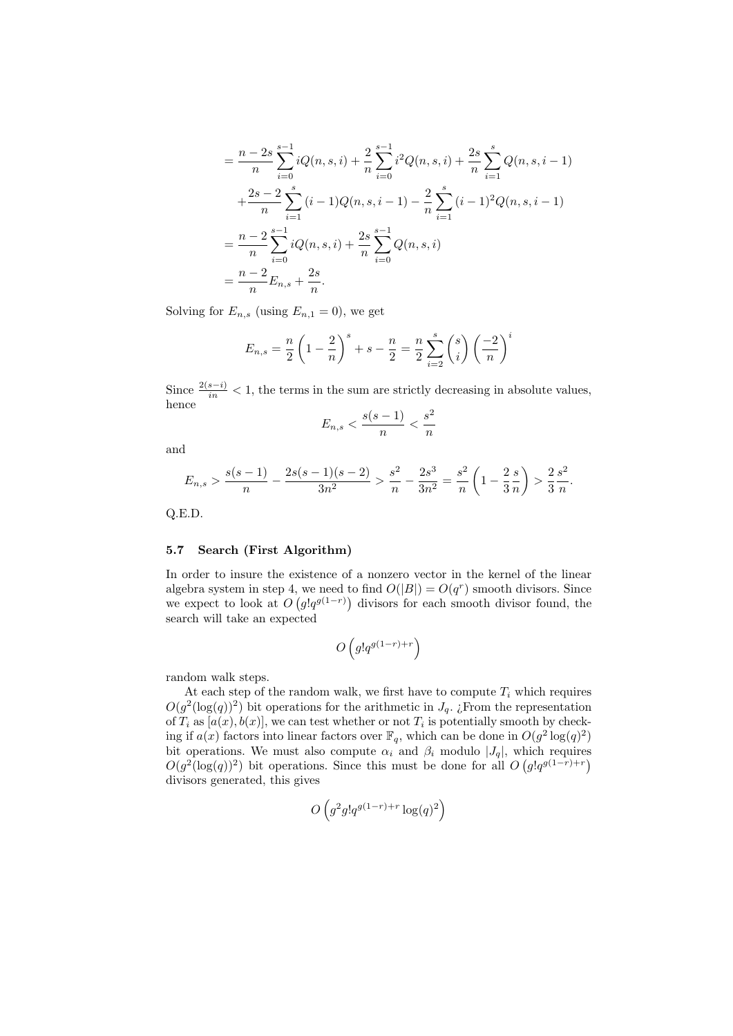$$
= \frac{n-2s}{n} \sum_{i=0}^{s-1} iQ(n, s, i) + \frac{2}{n} \sum_{i=0}^{s-1} i^2 Q(n, s, i) + \frac{2s}{n} \sum_{i=1}^s Q(n, s, i-1)
$$
  
+ 
$$
\frac{2s-2}{n} \sum_{i=1}^s (i-1)Q(n, s, i-1) - \frac{2}{n} \sum_{i=1}^s (i-1)^2 Q(n, s, i-1)
$$
  
= 
$$
\frac{n-2}{n} \sum_{i=0}^{s-1} iQ(n, s, i) + \frac{2s}{n} \sum_{i=0}^{s-1} Q(n, s, i)
$$
  
= 
$$
\frac{n-2}{n} E_{n, s} + \frac{2s}{n}.
$$

Solving for  $E_{n,s}$  (using  $E_{n,1} = 0$ ), we get

$$
E_{n,s} = \frac{n}{2} \left( 1 - \frac{2}{n} \right)^s + s - \frac{n}{2} = \frac{n}{2} \sum_{i=2}^s {s \choose i} \left( \frac{-2}{n} \right)^i
$$

Since  $\frac{2(s-i)}{in} < 1$ , the terms in the sum are strictly decreasing in absolute values, hence

$$
E_{n,s} < \frac{s(s-1)}{n} < \frac{s^2}{n}
$$

and

$$
E_{n,s} > \frac{s(s-1)}{n} - \frac{2s(s-1)(s-2)}{3n^2} > \frac{s^2}{n} - \frac{2s^3}{3n^2} = \frac{s^2}{n} \left(1 - \frac{2}{3}\frac{s}{n}\right) > \frac{2}{3}\frac{s^2}{n}.
$$

Q.E.D.

## 5.7 Search (First Algorithm)

In order to insure the existence of a nonzero vector in the kernel of the linear algebra system in step 4, we need to find  $O(|B|) = O(q^r)$  smooth divisors. Since we expect to look at  $O(g!q^{g(1-r)})$  divisors for each smooth divisor found, the search will take an expected

$$
O\left(g!q^{g(1-r)+r}\right)
$$

random walk steps.

At each step of the random walk, we first have to compute  $T_i$  which requires  $O(g^2(\log(q))^2)$  bit operations for the arithmetic in  $J_q$ . ¿From the representation of  $T_i$  as  $[a(x), b(x)]$ , we can test whether or not  $T_i$  is potentially smooth by checking if  $a(x)$  factors into linear factors over  $\mathbb{F}_q$ , which can be done in  $O(g^2 \log(q)^2)$ bit operations. We must also compute  $\alpha_i$  and  $\beta_i$  modulo  $|J_q|$ , which requires  $O(g^2(\log(q))^2)$  bit operations. Since this must be done for all  $O(g!q^{g(1-r)+r})$ divisors generated, this gives

$$
O\left(g^2 g! q^{g(1-r)+r} \log(q)^2\right)
$$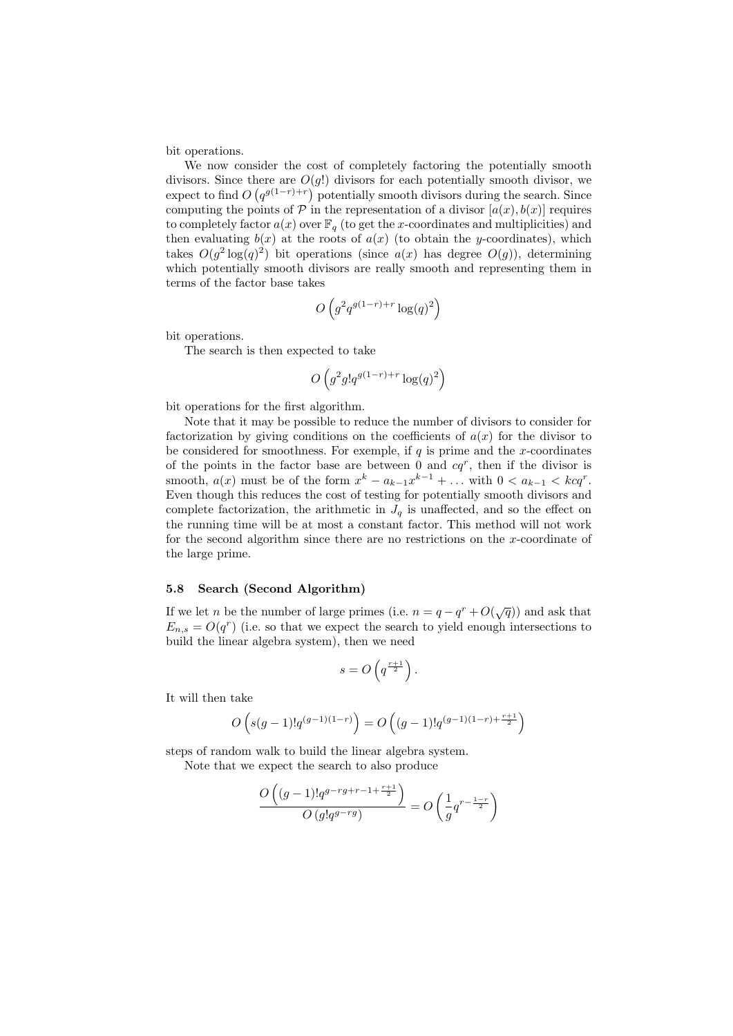bit operations.

We now consider the cost of completely factoring the potentially smooth divisors. Since there are  $O(g!)$  divisors for each potentially smooth divisor, we expect to find  $O(q^{g(1-r)+r})$  potentially smooth divisors during the search. Since computing the points of  $P$  in the representation of a divisor  $[a(x), b(x)]$  requires to completely factor  $a(x)$  over  $\mathbb{F}_q$  (to get the x-coordinates and multiplicities) and then evaluating  $b(x)$  at the roots of  $a(x)$  (to obtain the y-coordinates), which takes  $O(g^2 \log(q)^2)$  bit operations (since  $a(x)$  has degree  $O(g)$ ), determining which potentially smooth divisors are really smooth and representing them in terms of the factor base takes

$$
O\left(g^2 q^{g(1-r)+r} \log(q)^2\right)
$$

bit operations.

The search is then expected to take

$$
O\left(g^2 g! q^{g(1-r)+r} \log(q)^2\right)
$$

bit operations for the first algorithm.

Note that it may be possible to reduce the number of divisors to consider for factorization by giving conditions on the coefficients of  $a(x)$  for the divisor to be considered for smoothness. For exemple, if  $q$  is prime and the x-coordinates of the points in the factor base are between 0 and  $cq^r$ , then if the divisor is smooth,  $a(x)$  must be of the form  $x^k - a_{k-1}x^{k-1} + \dots$  with  $0 < a_{k-1} < kcq^r$ . Even though this reduces the cost of testing for potentially smooth divisors and complete factorization, the arithmetic in  $J_q$  is unaffected, and so the effect on the running time will be at most a constant factor. This method will not work for the second algorithm since there are no restrictions on the x-coordinate of the large prime.

## 5.8 Search (Second Algorithm)

If we let *n* be the number of large primes (i.e.  $n = q - q^r + O(\sqrt{q})$ ) and ask that  $E_{n,s} = O(q^r)$  (i.e. so that we expect the search to yield enough intersections to build the linear algebra system), then we need

$$
s = O\left(q^{\frac{r+1}{2}}\right).
$$

It will then take

$$
O\left(s(g-1)!q^{(g-1)(1-r)}\right) = O\left((g-1)!q^{(g-1)(1-r)+\frac{r+1}{2}}\right)
$$

steps of random walk to build the linear algebra system.

Note that we expect the search to also produce

$$
\frac{O\left((g-1)!q^{g-rg+r-1+\frac{r+1}{2}}\right)}{O\left(g!q^{g-rg}\right)} = O\left(\frac{1}{g}q^{r-\frac{1-r}{2}}\right)
$$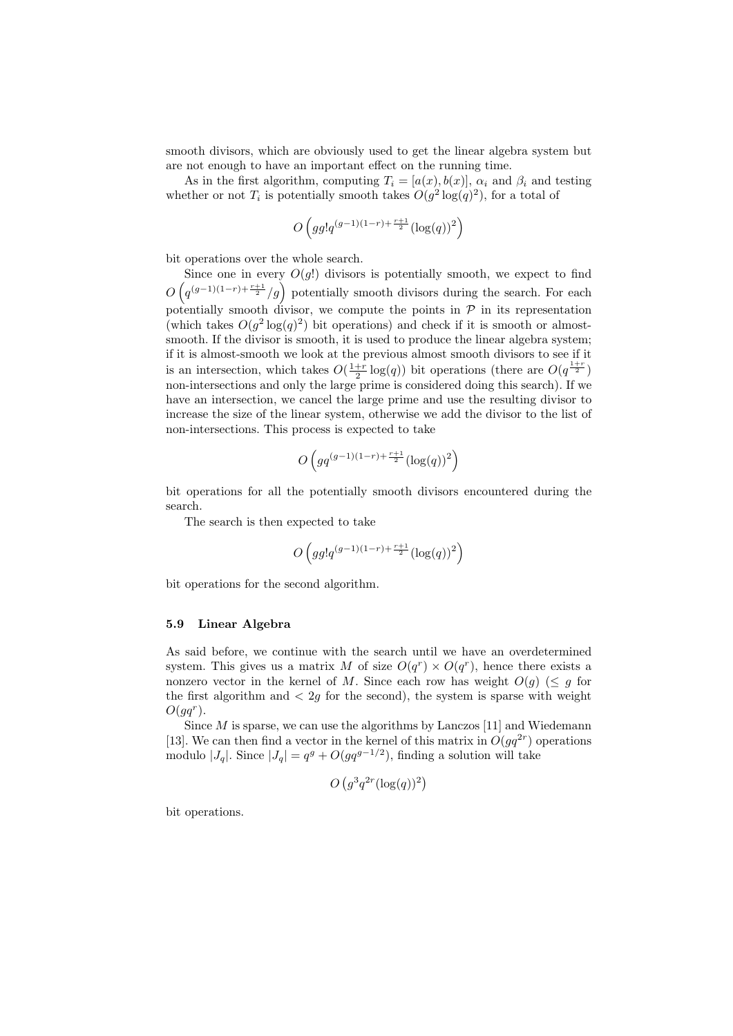smooth divisors, which are obviously used to get the linear algebra system but are not enough to have an important effect on the running time.

As in the first algorithm, computing  $T_i = [a(x), b(x)]$ ,  $\alpha_i$  and  $\beta_i$  and testing whether or not  $T_i$  is potentially smooth takes  $O(g^2 \log(q)^2)$ , for a total of

$$
O\left(g g! q^{(g-1)(1-r) + \frac{r+1}{2}} (\log(q))^2\right)
$$

bit operations over the whole search.

Since one in every  $O(g!)$  divisors is potentially smooth, we expect to find  $\overline{O}$  $\overline{a}$ Since one in every  $O(g!)$  divisors is potentially smooth, we expect to find  $q^{(g-1)(1-r)+\frac{r+1}{2}}/g$  potentially smooth divisors during the search. For each potentially smooth divisor, we compute the points in  $P$  in its representation (which takes  $O(g^2 \log(q)^2)$  bit operations) and check if it is smooth or almostsmooth. If the divisor is smooth, it is used to produce the linear algebra system; if it is almost-smooth we look at the previous almost smooth divisors to see if it is an intersection, which takes  $O(\frac{1+r}{2}\log(q))$  bit operations (there are  $O(q^{\frac{1+r}{2}})$ non-intersections and only the large prime is considered doing this search). If we have an intersection, we cancel the large prime and use the resulting divisor to increase the size of the linear system, otherwise we add the divisor to the list of non-intersections. This process is expected to take

$$
O\left(gq^{(g-1)(1-r)+\frac{r+1}{2}}(\log(q))^2\right)
$$

bit operations for all the potentially smooth divisors encountered during the search.

The search is then expected to take

$$
O\left(g g! q^{(g-1)(1-r) + \frac{r+1}{2}} (\log(q))^2\right)
$$

bit operations for the second algorithm.

## 5.9 Linear Algebra

As said before, we continue with the search until we have an overdetermined system. This gives us a matrix M of size  $O(q^r) \times O(q^r)$ , hence there exists a nonzero vector in the kernel of M. Since each row has weight  $O(g)$  ( $\leq g$  for the first algorithm and  $\langle 2g \rangle$  for the second), the system is sparse with weight  $O(gq^r)$ .

Since  $M$  is sparse, we can use the algorithms by Lanczos [11] and Wiedemann [13]. We can then find a vector in the kernel of this matrix in  $O(gq^{2r})$  operations modulo  $|J_q|$ . Since  $|J_q| = q^g + O(gq^{g-1/2})$ , finding a solution will take

$$
O\left(g^3q^{2r}(\log(q))^2\right)
$$

bit operations.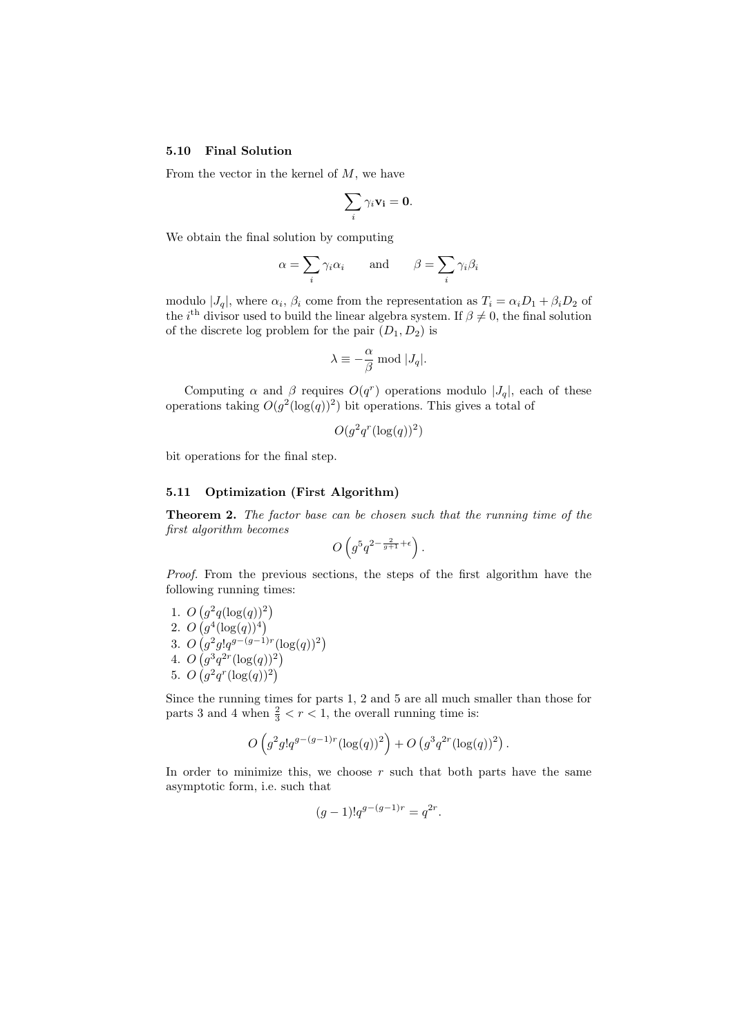## 5.10 Final Solution

From the vector in the kernel of  $M$ , we have

$$
\sum_i \gamma_i \mathbf{v_i} = \mathbf{0}.
$$

We obtain the final solution by computing

$$
\alpha = \sum_{i} \gamma_i \alpha_i
$$
 and  $\beta = \sum_{i} \gamma_i \beta_i$ 

modulo  $|J_q|$ , where  $\alpha_i$ ,  $\beta_i$  come from the representation as  $T_i = \alpha_i D_1 + \beta_i D_2$  of the *i*<sup>th</sup> divisor used to build the linear algebra system. If  $\beta \neq 0$ , the final solution of the discrete log problem for the pair  $(D_1, D_2)$  is

$$
\lambda \equiv -\frac{\alpha}{\beta} \bmod |J_q|.
$$

Computing  $\alpha$  and  $\beta$  requires  $O(q^r)$  operations modulo  $|J_q|$ , each of these operations taking  $O(g^2(\log(q))^2)$  bit operations. This gives a total of

$$
O(g^2q^r(\log(q))^2)
$$

bit operations for the final step.

## 5.11 Optimization (First Algorithm)

Theorem 2. The factor base can be chosen such that the running time of the first algorithm becomes  $\overline{a}$ ´

$$
O\left(g^5q^{2-\frac{2}{g+1}+\epsilon}\right).
$$

Proof. From the previous sections, the steps of the first algorithm have the following running times:

1. O ¡  $q^2q(\log(q))^2$ 2. O ¡  $g^{4}(\log(q))^{4}$ 3. O ¡  $g^2 g! q^{g-(g-1)r} (\log(q))^2$ 4.  $O(g^3q^{2r}(\log(q))^2)$  $\left(\begin{matrix} g & g \cdot q^3 & \cdots & g \end{matrix}\right)$ 5. O  $\langle$  $g^2 q^r (\log(q))^2$ 

Since the running times for parts 1, 2 and 5 are all much smaller than those for parts 3 and 4 when  $\frac{2}{3} < r < 1$ , the overall running time is:

$$
O\left(g^2 g! q^{g-(g-1)r} (\log(q))^2\right) + O\left(g^3 q^{2r} (\log(q))^2\right).
$$

In order to minimize this, we choose  $r$  such that both parts have the same asymptotic form, i.e. such that

$$
(g-1)!q^{g-(g-1)r} = q^{2r}.
$$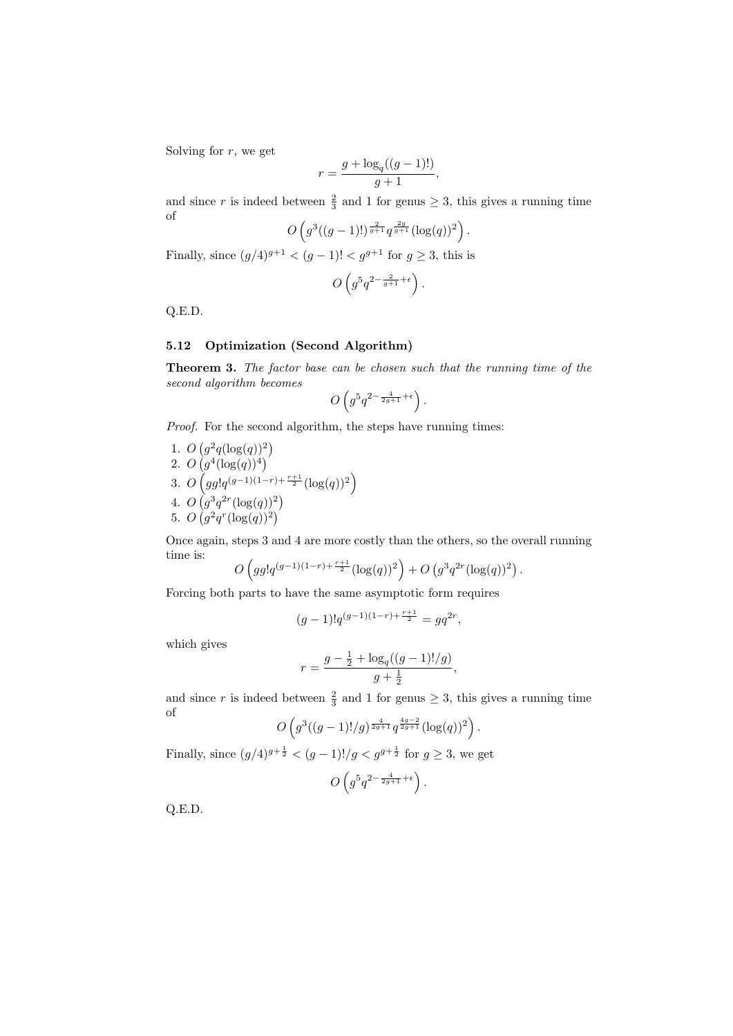Solving for  $r$ , we get

$$
r = \frac{g + \log_q((g - 1)!)}{g + 1},
$$

and since r is indeed between  $\frac{2}{3}$  and 1 for genus  $\geq$  3, this gives a running time of  $\overline{a}$ ´

$$
O\left(g^3((g-1)!)^{\frac{2}{g+1}}q^{\frac{2g}{g+1}}(\log(q))^2\right).
$$

Finally, since  $(g/4)^{g+1} < (g-1)! < g^{g+1}$  for  $g \geq 3$ , this is

$$
O\left(g^5q^{2-\frac{2}{g+1}+\epsilon}\right).
$$

Q.E.D.

# 5.12 Optimization (Second Algorithm)

Theorem 3. The factor base can be chosen such that the running time of the second algorithm becomes  $\overline{a}$ ´

$$
O\left(g^5q^{2-\frac{4}{2g+1}+\epsilon}\right).
$$

Proof. For the second algorithm, the steps have running times:

1. O ¡  $g^2q(\log(q))^2$ 2. O  $\langle$  $g^4(\log(q))^4$ 3. O ³  $gg!q^{(g-1)(1-r)+\frac{r+1}{2}}(\log(q))^2$ ´ 4.  $O(g^3q^{2r}(\log(q))^2)$  $\begin{pmatrix} 33.4 \\ 2 & 2 \end{pmatrix}$ 5.  $O(g^2q^r(\log(q))^2)$ 

Once again, steps 3 and 4 are more costly than the others, so the overall running time is:  $\overline{a}$ ´ ¡ ¢

$$
O\left(gg!q^{(g-1)(1-r)+\frac{r+1}{2}}(\log(q))^2\right)+O\left(g^3q^{2r}(\log(q))^2\right).
$$

Forcing both parts to have the same asymptotic form requires

$$
(g-1)!q^{(g-1)(1-r)+\frac{r+1}{2}} = gq^{2r},
$$

which gives

$$
r = \frac{g - \frac{1}{2} + \log_q((g - 1)!/g)}{g + \frac{1}{2}},
$$

and since r is indeed between  $\frac{2}{3}$  and 1 for genus  $\geq$  3, this gives a running time of  $\overline{a}$ ´

$$
O\left(g^3((g-1)!/g)^{\frac{4}{2g+1}}q^{\frac{4g-2}{2g+1}}(\log(q))^2\right).
$$

Finally, since  $(g/4)^{g+\frac{1}{2}} < (g-1)!/g < g^{g+\frac{1}{2}}$  for  $g \geq 3$ , we get

$$
O\left(g^5q^{2-\frac{4}{2g+1}+\epsilon}\right).
$$

Q.E.D.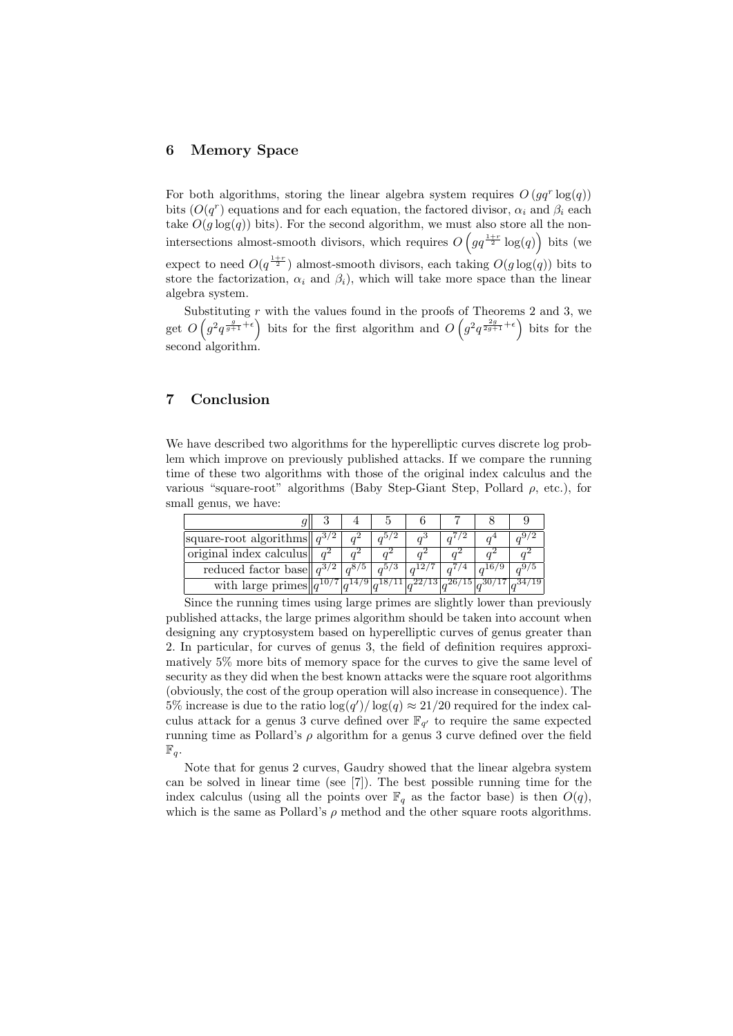# 6 Memory Space

For both algorithms, storing the linear algebra system requires  $O(gq^r \log(q))$ bits  $(O(q^r))$  equations and for each equation, the factored divisor,  $\alpha_i$  and  $\beta_i$  each take  $O(g \log(q))$  bits). For the second algorithm, we must also store all the nonintersections almost-smooth divisors, which requires  $O(gq^{\frac{1+r}{2}} \log(q))$  bits (we expect to need  $O(q^{\frac{1+r}{2}})$  almost-smooth divisors, each taking  $O(g \log(q))$  bits to store the factorization,  $\alpha_i$  and  $\beta_i$ ), which will take more space than the linear algebra system.

Substituting  $\overline{r}$  with the values found in the proofs of Theorems 2 and 3, we get  $O(g^2 q^{\frac{g}{g+1}+\epsilon})$  bits for the first algorithm and  $O(g^2 q^{\frac{2g}{2g+1}+\epsilon})$  bits for the second algorithm.

# 7 Conclusion

We have described two algorithms for the hyperelliptic curves discrete log problem which improve on previously published attacks. If we compare the running time of these two algorithms with those of the original index calculus and the various "square-root" algorithms (Baby Step-Giant Step, Pollard  $\rho$ , etc.), for small genus, we have:

| square-root algorithms   $q^{3/2}$                                                        |  |  |  |  |
|-------------------------------------------------------------------------------------------|--|--|--|--|
| original index calculus                                                                   |  |  |  |  |
| reduced factor base $\ q^{3/2}\ $                                                         |  |  |  |  |
| with large primes $  q^{10/7} q^{14/9} q^{18/11} q^{22/13} q^{26/15} q^{30/17} q^{34/19}$ |  |  |  |  |

Since the running times using large primes are slightly lower than previously published attacks, the large primes algorithm should be taken into account when designing any cryptosystem based on hyperelliptic curves of genus greater than 2. In particular, for curves of genus 3, the field of definition requires approximatively 5% more bits of memory space for the curves to give the same level of security as they did when the best known attacks were the square root algorithms (obviously, the cost of the group operation will also increase in consequence). The 5% increase is due to the ratio  $\log(q')/\log(q) \approx 21/20$  required for the index calculus attack for a genus 3 curve defined over  $\mathbb{F}_{q'}$  to require the same expected running time as Pollard's  $\rho$  algorithm for a genus 3 curve defined over the field  $\mathbb{F}_q$ .

Note that for genus 2 curves, Gaudry showed that the linear algebra system can be solved in linear time (see [7]). The best possible running time for the index calculus (using all the points over  $\mathbb{F}_q$  as the factor base) is then  $O(q)$ , which is the same as Pollard's  $\rho$  method and the other square roots algorithms.